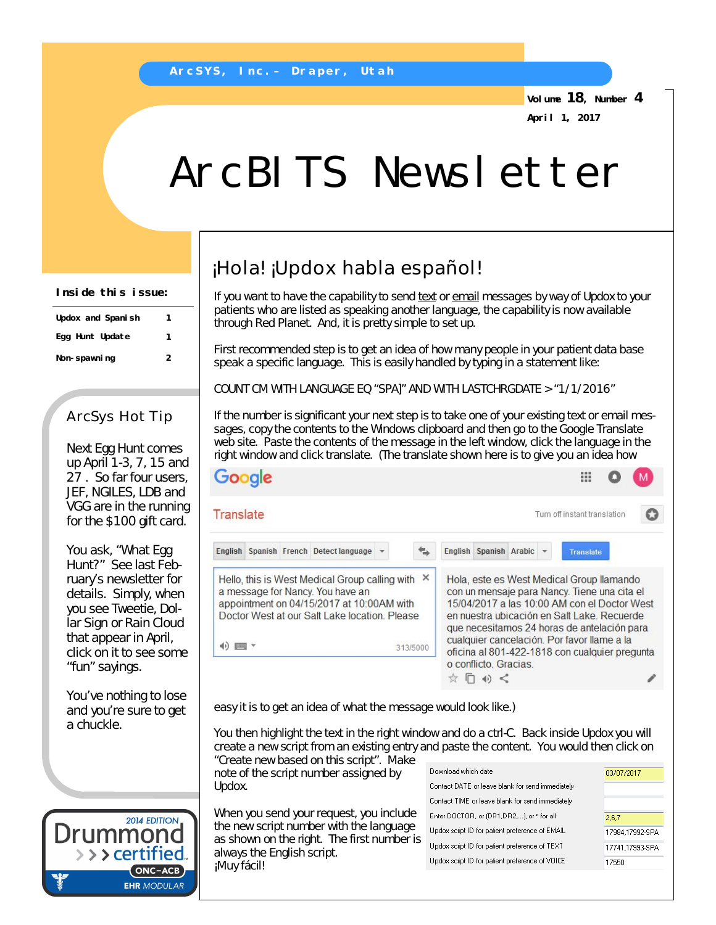**Volume 18, Number 4 April 1, 2017**

# ArcBITS Newsletter

**Inside this issue:**

| Updox and Spanish | 1 |
|-------------------|---|
| Egg Hunt Update   | 1 |
| Non-spawning      | 2 |

## ArcSys Hot Tip

Next Egg Hunt comes up April 1-3, 7, 15 and 27 . So far four users, JEF, NGILES, LDB and VGG are in the running for the \$100 gift card.

You ask, "What Egg Hunt?" See last February's newsletter for details. Simply, when you see Tweetie, Dollar Sign or Rain Cloud that appear in April, click on it to see some "fun" sayings.

You've nothing to lose and you're sure to get a chuckle.



## ¡Hola! ¡Updox habla español!

If you want to have the capability to send text or email messages by way of Updox to your patients who are listed as speaking another language, the capability is now available through Red Planet. And, it is pretty simple to set up.

First recommended step is to get an idea of how many people in your patient data base speak a specific language. This is easily handled by typing in a statement like:

COUNT CM WITH LANGUAGE EQ "SPA]" AND WITH LASTCHRGDATE > "1/1/2016"

If the number is significant your next step is to take one of your existing text or email messages, copy the contents to the Windows clipboard and then go to the Google Translate web site. Paste the contents of the message in the left window, click the language in the right window and click translate. (The translate shown here is to give you an idea how

|                                                                       | Google |                                                                                                                                                                                         |          |                          |  |                                                                                                                                                                                                                                                                                                                                          |  |
|-----------------------------------------------------------------------|--------|-----------------------------------------------------------------------------------------------------------------------------------------------------------------------------------------|----------|--------------------------|--|------------------------------------------------------------------------------------------------------------------------------------------------------------------------------------------------------------------------------------------------------------------------------------------------------------------------------------------|--|
| Translate                                                             |        |                                                                                                                                                                                         |          |                          |  | Turn off instant translation                                                                                                                                                                                                                                                                                                             |  |
|                                                                       |        | English Spanish French Detect language                                                                                                                                                  |          | English Spanish Arabic - |  | <b>Translate</b>                                                                                                                                                                                                                                                                                                                         |  |
| $\left\vert \cdot\right\rangle$ , and $\left\vert \cdot\right\rangle$ |        | Hello, this is West Medical Group calling with $\chi$<br>a message for Nancy. You have an<br>appointment on 04/15/2017 at 10:00AM with<br>Doctor West at our Salt Lake location. Please | 313/5000 |                          |  | Hola, este es West Medical Group llamando<br>con un mensaje para Nancy. Tiene una cita el<br>15/04/2017 a las 10:00 AM con el Doctor West<br>en nuestra ubicación en Salt Lake, Recuerde<br>que necesitamos 24 horas de antelación para<br>cualquier cancelación. Por favor llame a la<br>oficina al 801-422-1818 con cualquier pregunta |  |
|                                                                       |        |                                                                                                                                                                                         |          | o conflicto. Gracias.    |  |                                                                                                                                                                                                                                                                                                                                          |  |

easy it is to get an idea of what the message would look like.)

You then highlight the text in the right window and do a ctrl-C. Back inside Updox you will create a new script from an existing entry and paste the content. You would then click on "Create new based on this script". Make

note of the script number assigned by Updox.

When you send your request, you include the new script number with the language as shown on the right. The first number is always the English script. ¡Muy fácil!

| Download which date                              | 03/07/2017      |
|--------------------------------------------------|-----------------|
| Contact DATE or leave blank for send immediately |                 |
| Contact TIME or leave blank for send immediately |                 |
| Enter DOCTOR, or (DR1,DR2,), or * for all        | 2.6.7           |
| Updox script ID for patient preference of EMAIL  | 17984,17992-SPA |
| Updox script ID for patient preference of TEXT   | 17741,17993-SPA |
| Updox script ID for patient preference of VOICE  | 17550           |